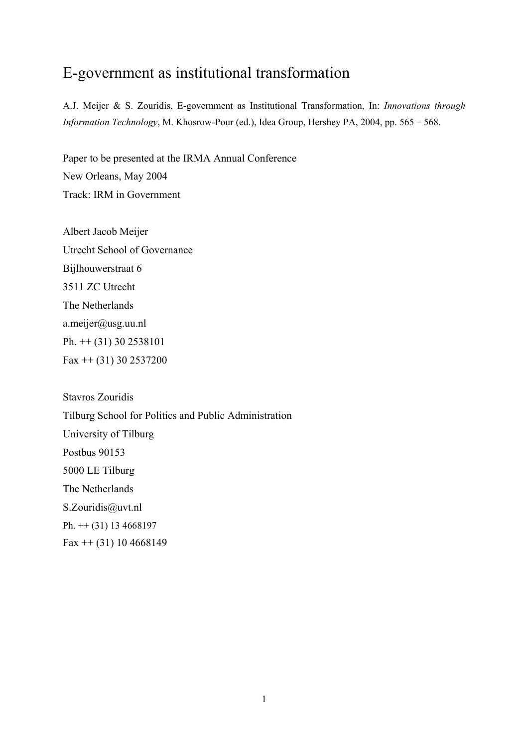# E-government as institutional transformation

A.J. Meijer & S. Zouridis, E-government as Institutional Transformation, In: *Innovations through Information Technology*, M. Khosrow-Pour (ed.), Idea Group, Hershey PA, 2004, pp. 565 – 568.

Paper to be presented at the IRMA Annual Conference New Orleans, May 2004 Track: IRM in Government

Albert Jacob Meijer Utrecht School of Governance Bijlhouwerstraat 6 3511 ZC Utrecht The Netherlands a.meijer@usg.uu.nl Ph. ++ (31) 30 2538101 Fax ++ (31) 30 2537200

Stavros Zouridis Tilburg School for Politics and Public Administration University of Tilburg Postbus 90153 5000 LE Tilburg The Netherlands S.Zouridis@uvt.nl Ph. ++ (31) 13 4668197 Fax  $++$  (31) 10 4668149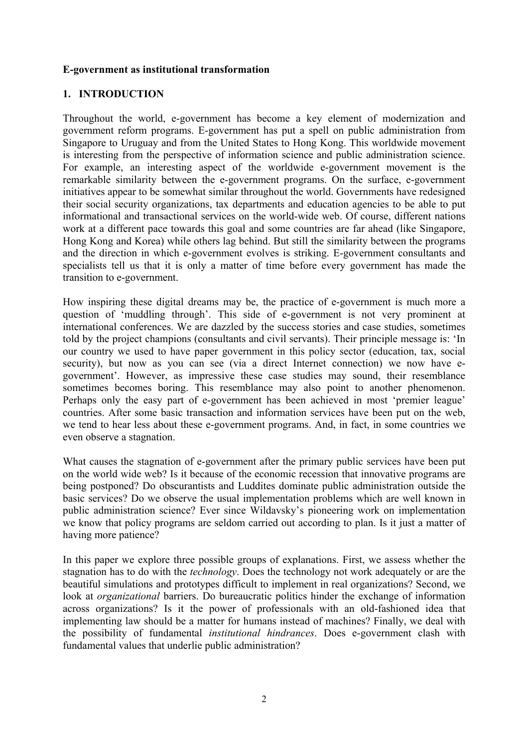#### **E-government as institutional transformation**

## **1. INTRODUCTION**

Throughout the world, e-government has become a key element of modernization and government reform programs. E-government has put a spell on public administration from Singapore to Uruguay and from the United States to Hong Kong. This worldwide movement is interesting from the perspective of information science and public administration science. For example, an interesting aspect of the worldwide e-government movement is the remarkable similarity between the e-government programs. On the surface, e-government initiatives appear to be somewhat similar throughout the world. Governments have redesigned their social security organizations, tax departments and education agencies to be able to put informational and transactional services on the world-wide web. Of course, different nations work at a different pace towards this goal and some countries are far ahead (like Singapore, Hong Kong and Korea) while others lag behind. But still the similarity between the programs and the direction in which e-government evolves is striking. E-government consultants and specialists tell us that it is only a matter of time before every government has made the transition to e-government.

How inspiring these digital dreams may be, the practice of e-government is much more a question of 'muddling through'. This side of e-government is not very prominent at international conferences. We are dazzled by the success stories and case studies, sometimes told by the project champions (consultants and civil servants). Their principle message is: 'In our country we used to have paper government in this policy sector (education, tax, social security), but now as you can see (via a direct Internet connection) we now have egovernment'. However, as impressive these case studies may sound, their resemblance sometimes becomes boring. This resemblance may also point to another phenomenon. Perhaps only the easy part of e-government has been achieved in most 'premier league' countries. After some basic transaction and information services have been put on the web, we tend to hear less about these e-government programs. And, in fact, in some countries we even observe a stagnation.

What causes the stagnation of e-government after the primary public services have been put on the world wide web? Is it because of the economic recession that innovative programs are being postponed? Do obscurantists and Luddites dominate public administration outside the basic services? Do we observe the usual implementation problems which are well known in public administration science? Ever since Wildavsky's pioneering work on implementation we know that policy programs are seldom carried out according to plan. Is it just a matter of having more patience?

In this paper we explore three possible groups of explanations. First, we assess whether the stagnation has to do with the *technology*. Does the technology not work adequately or are the beautiful simulations and prototypes difficult to implement in real organizations? Second, we look at *organizational* barriers. Do bureaucratic politics hinder the exchange of information across organizations? Is it the power of professionals with an old-fashioned idea that implementing law should be a matter for humans instead of machines? Finally, we deal with the possibility of fundamental *institutional hindrances*. Does e-government clash with fundamental values that underlie public administration?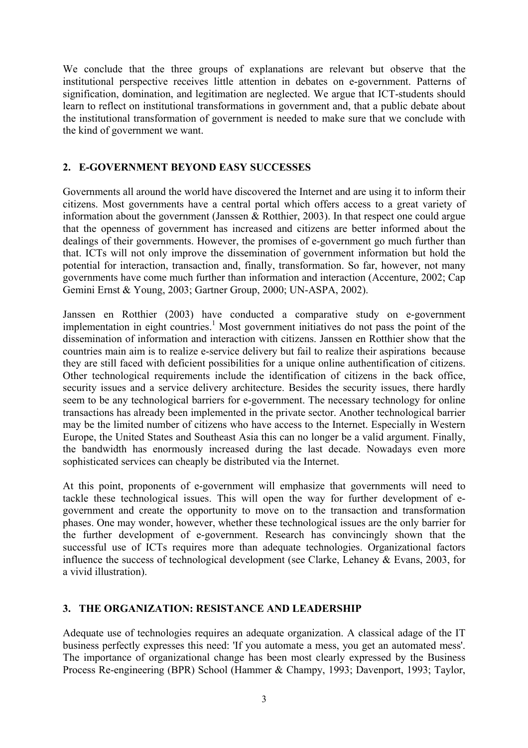We conclude that the three groups of explanations are relevant but observe that the institutional perspective receives little attention in debates on e-government. Patterns of signification, domination, and legitimation are neglected. We argue that ICT-students should learn to reflect on institutional transformations in government and, that a public debate about the institutional transformation of government is needed to make sure that we conclude with the kind of government we want.

# **2. E-GOVERNMENT BEYOND EASY SUCCESSES**

Governments all around the world have discovered the Internet and are using it to inform their citizens. Most governments have a central portal which offers access to a great variety of information about the government (Janssen & Rotthier, 2003). In that respect one could argue that the openness of government has increased and citizens are better informed about the dealings of their governments. However, the promises of e-government go much further than that. ICTs will not only improve the dissemination of government information but hold the potential for interaction, transaction and, finally, transformation. So far, however, not many governments have come much further than information and interaction (Accenture, 2002; Cap Gemini Ernst & Young, 2003; Gartner Group, 2000; UN-ASPA, 2002).

Janssen en Rotthier (2003) have conducted a comparative study on e-government implementation in eight countries.<sup>1</sup> Most government initiatives do not pass the point of the dissemination of information and interaction with citizens. Janssen en Rotthier show that the countries main aim is to realize e-service delivery but fail to realize their aspirations because they are still faced with deficient possibilities for a unique online authentification of citizens. Other technological requirements include the identification of citizens in the back office, security issues and a service delivery architecture. Besides the security issues, there hardly seem to be any technological barriers for e-government. The necessary technology for online transactions has already been implemented in the private sector. Another technological barrier may be the limited number of citizens who have access to the Internet. Especially in Western Europe, the United States and Southeast Asia this can no longer be a valid argument. Finally, the bandwidth has enormously increased during the last decade. Nowadays even more sophisticated services can cheaply be distributed via the Internet.

At this point, proponents of e-government will emphasize that governments will need to tackle these technological issues. This will open the way for further development of egovernment and create the opportunity to move on to the transaction and transformation phases. One may wonder, however, whether these technological issues are the only barrier for the further development of e-government. Research has convincingly shown that the successful use of ICTs requires more than adequate technologies. Organizational factors influence the success of technological development (see Clarke, Lehaney & Evans, 2003, for a vivid illustration).

## **3. THE ORGANIZATION: RESISTANCE AND LEADERSHIP**

Adequate use of technologies requires an adequate organization. A classical adage of the IT business perfectly expresses this need: 'If you automate a mess, you get an automated mess'. The importance of organizational change has been most clearly expressed by the Business Process Re-engineering (BPR) School (Hammer & Champy, 1993; Davenport, 1993; Taylor,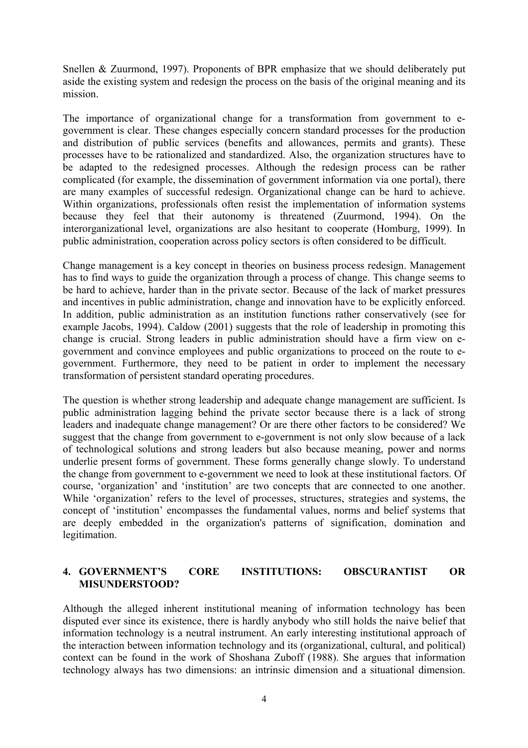Snellen & Zuurmond, 1997). Proponents of BPR emphasize that we should deliberately put aside the existing system and redesign the process on the basis of the original meaning and its mission.

The importance of organizational change for a transformation from government to egovernment is clear. These changes especially concern standard processes for the production and distribution of public services (benefits and allowances, permits and grants). These processes have to be rationalized and standardized. Also, the organization structures have to be adapted to the redesigned processes. Although the redesign process can be rather complicated (for example, the dissemination of government information via one portal), there are many examples of successful redesign. Organizational change can be hard to achieve. Within organizations, professionals often resist the implementation of information systems because they feel that their autonomy is threatened (Zuurmond, 1994). On the interorganizational level, organizations are also hesitant to cooperate (Homburg, 1999). In public administration, cooperation across policy sectors is often considered to be difficult.

Change management is a key concept in theories on business process redesign. Management has to find ways to guide the organization through a process of change. This change seems to be hard to achieve, harder than in the private sector. Because of the lack of market pressures and incentives in public administration, change and innovation have to be explicitly enforced. In addition, public administration as an institution functions rather conservatively (see for example Jacobs, 1994). Caldow (2001) suggests that the role of leadership in promoting this change is crucial. Strong leaders in public administration should have a firm view on egovernment and convince employees and public organizations to proceed on the route to egovernment. Furthermore, they need to be patient in order to implement the necessary transformation of persistent standard operating procedures.

The question is whether strong leadership and adequate change management are sufficient. Is public administration lagging behind the private sector because there is a lack of strong leaders and inadequate change management? Or are there other factors to be considered? We suggest that the change from government to e-government is not only slow because of a lack of technological solutions and strong leaders but also because meaning, power and norms underlie present forms of government. These forms generally change slowly. To understand the change from government to e-government we need to look at these institutional factors. Of course, 'organization' and 'institution' are two concepts that are connected to one another. While 'organization' refers to the level of processes, structures, strategies and systems, the concept of 'institution' encompasses the fundamental values, norms and belief systems that are deeply embedded in the organization's patterns of signification, domination and legitimation.

#### **4. GOVERNMENT'S CORE INSTITUTIONS: OBSCURANTIST OR MISUNDERSTOOD?**

Although the alleged inherent institutional meaning of information technology has been disputed ever since its existence, there is hardly anybody who still holds the naive belief that information technology is a neutral instrument. An early interesting institutional approach of the interaction between information technology and its (organizational, cultural, and political) context can be found in the work of Shoshana Zuboff (1988). She argues that information technology always has two dimensions: an intrinsic dimension and a situational dimension.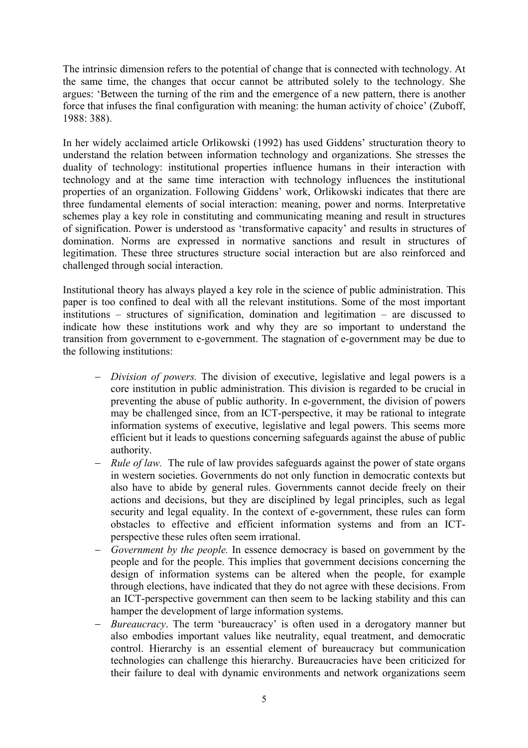The intrinsic dimension refers to the potential of change that is connected with technology. At the same time, the changes that occur cannot be attributed solely to the technology. She argues: 'Between the turning of the rim and the emergence of a new pattern, there is another force that infuses the final configuration with meaning: the human activity of choice' (Zuboff, 1988: 388).

In her widely acclaimed article Orlikowski (1992) has used Giddens' structuration theory to understand the relation between information technology and organizations. She stresses the duality of technology: institutional properties influence humans in their interaction with technology and at the same time interaction with technology influences the institutional properties of an organization. Following Giddens' work, Orlikowski indicates that there are three fundamental elements of social interaction: meaning, power and norms. Interpretative schemes play a key role in constituting and communicating meaning and result in structures of signification. Power is understood as 'transformative capacity' and results in structures of domination. Norms are expressed in normative sanctions and result in structures of legitimation. These three structures structure social interaction but are also reinforced and challenged through social interaction.

Institutional theory has always played a key role in the science of public administration. This paper is too confined to deal with all the relevant institutions. Some of the most important institutions – structures of signification, domination and legitimation – are discussed to indicate how these institutions work and why they are so important to understand the transition from government to e-government. The stagnation of e-government may be due to the following institutions:

- − *Division of powers.* The division of executive, legislative and legal powers is a core institution in public administration. This division is regarded to be crucial in preventing the abuse of public authority. In e-government, the division of powers may be challenged since, from an ICT-perspective, it may be rational to integrate information systems of executive, legislative and legal powers. This seems more efficient but it leads to questions concerning safeguards against the abuse of public authority.
- − *Rule of law.* The rule of law provides safeguards against the power of state organs in western societies. Governments do not only function in democratic contexts but also have to abide by general rules. Governments cannot decide freely on their actions and decisions, but they are disciplined by legal principles, such as legal security and legal equality. In the context of e-government, these rules can form obstacles to effective and efficient information systems and from an ICTperspective these rules often seem irrational.
- *Government by the people.* In essence democracy is based on government by the people and for the people. This implies that government decisions concerning the design of information systems can be altered when the people, for example through elections, have indicated that they do not agree with these decisions. From an ICT-perspective government can then seem to be lacking stability and this can hamper the development of large information systems.
- − *Bureaucracy*. The term 'bureaucracy' is often used in a derogatory manner but also embodies important values like neutrality, equal treatment, and democratic control. Hierarchy is an essential element of bureaucracy but communication technologies can challenge this hierarchy. Bureaucracies have been criticized for their failure to deal with dynamic environments and network organizations seem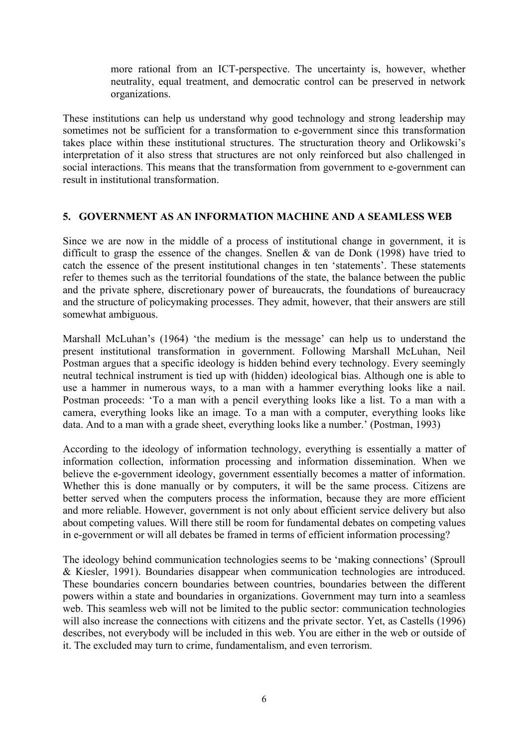more rational from an ICT-perspective. The uncertainty is, however, whether neutrality, equal treatment, and democratic control can be preserved in network organizations.

These institutions can help us understand why good technology and strong leadership may sometimes not be sufficient for a transformation to e-government since this transformation takes place within these institutional structures. The structuration theory and Orlikowski's interpretation of it also stress that structures are not only reinforced but also challenged in social interactions. This means that the transformation from government to e-government can result in institutional transformation.

## **5. GOVERNMENT AS AN INFORMATION MACHINE AND A SEAMLESS WEB**

Since we are now in the middle of a process of institutional change in government, it is difficult to grasp the essence of the changes. Snellen & van de Donk (1998) have tried to catch the essence of the present institutional changes in ten 'statements'. These statements refer to themes such as the territorial foundations of the state, the balance between the public and the private sphere, discretionary power of bureaucrats, the foundations of bureaucracy and the structure of policymaking processes. They admit, however, that their answers are still somewhat ambiguous.

Marshall McLuhan's (1964) 'the medium is the message' can help us to understand the present institutional transformation in government. Following Marshall McLuhan, Neil Postman argues that a specific ideology is hidden behind every technology. Every seemingly neutral technical instrument is tied up with (hidden) ideological bias. Although one is able to use a hammer in numerous ways, to a man with a hammer everything looks like a nail. Postman proceeds: 'To a man with a pencil everything looks like a list. To a man with a camera, everything looks like an image. To a man with a computer, everything looks like data. And to a man with a grade sheet, everything looks like a number.' (Postman, 1993)

According to the ideology of information technology, everything is essentially a matter of information collection, information processing and information dissemination. When we believe the e-government ideology, government essentially becomes a matter of information. Whether this is done manually or by computers, it will be the same process. Citizens are better served when the computers process the information, because they are more efficient and more reliable. However, government is not only about efficient service delivery but also about competing values. Will there still be room for fundamental debates on competing values in e-government or will all debates be framed in terms of efficient information processing?

The ideology behind communication technologies seems to be 'making connections' (Sproull & Kiesler, 1991). Boundaries disappear when communication technologies are introduced. These boundaries concern boundaries between countries, boundaries between the different powers within a state and boundaries in organizations. Government may turn into a seamless web. This seamless web will not be limited to the public sector: communication technologies will also increase the connections with citizens and the private sector. Yet, as Castells (1996) describes, not everybody will be included in this web. You are either in the web or outside of it. The excluded may turn to crime, fundamentalism, and even terrorism.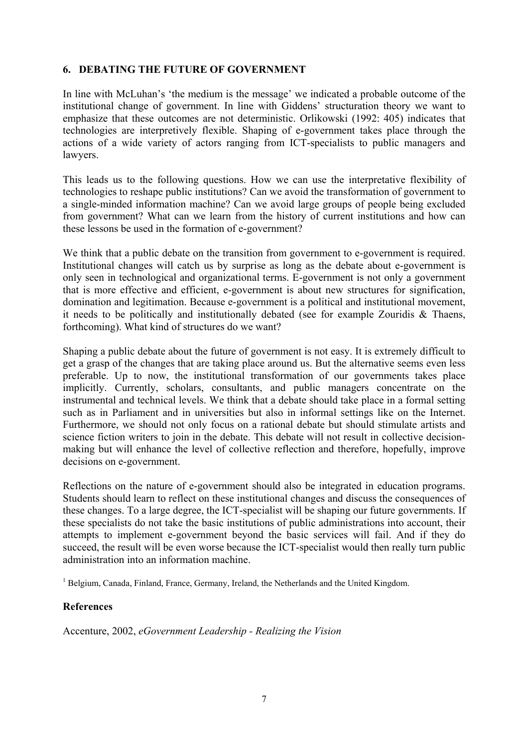## **6. DEBATING THE FUTURE OF GOVERNMENT**

In line with McLuhan's 'the medium is the message' we indicated a probable outcome of the institutional change of government. In line with Giddens' structuration theory we want to emphasize that these outcomes are not deterministic. Orlikowski (1992: 405) indicates that technologies are interpretively flexible. Shaping of e-government takes place through the actions of a wide variety of actors ranging from ICT-specialists to public managers and lawyers.

This leads us to the following questions. How we can use the interpretative flexibility of technologies to reshape public institutions? Can we avoid the transformation of government to a single-minded information machine? Can we avoid large groups of people being excluded from government? What can we learn from the history of current institutions and how can these lessons be used in the formation of e-government?

We think that a public debate on the transition from government to e-government is required. Institutional changes will catch us by surprise as long as the debate about e-government is only seen in technological and organizational terms. E-government is not only a government that is more effective and efficient, e-government is about new structures for signification, domination and legitimation. Because e-government is a political and institutional movement, it needs to be politically and institutionally debated (see for example Zouridis & Thaens, forthcoming). What kind of structures do we want?

Shaping a public debate about the future of government is not easy. It is extremely difficult to get a grasp of the changes that are taking place around us. But the alternative seems even less preferable. Up to now, the institutional transformation of our governments takes place implicitly. Currently, scholars, consultants, and public managers concentrate on the instrumental and technical levels. We think that a debate should take place in a formal setting such as in Parliament and in universities but also in informal settings like on the Internet. Furthermore, we should not only focus on a rational debate but should stimulate artists and science fiction writers to join in the debate. This debate will not result in collective decisionmaking but will enhance the level of collective reflection and therefore, hopefully, improve decisions on e-government.

Reflections on the nature of e-government should also be integrated in education programs. Students should learn to reflect on these institutional changes and discuss the consequences of these changes. To a large degree, the ICT-specialist will be shaping our future governments. If these specialists do not take the basic institutions of public administrations into account, their attempts to implement e-government beyond the basic services will fail. And if they do succeed, the result will be even worse because the ICT-specialist would then really turn public administration into an information machine.

<sup>1</sup> Belgium, Canada, Finland, France, Germany, Ireland, the Netherlands and the United Kingdom.

## **References**

Accenture, 2002, *eGovernment Leadership - Realizing the Vision*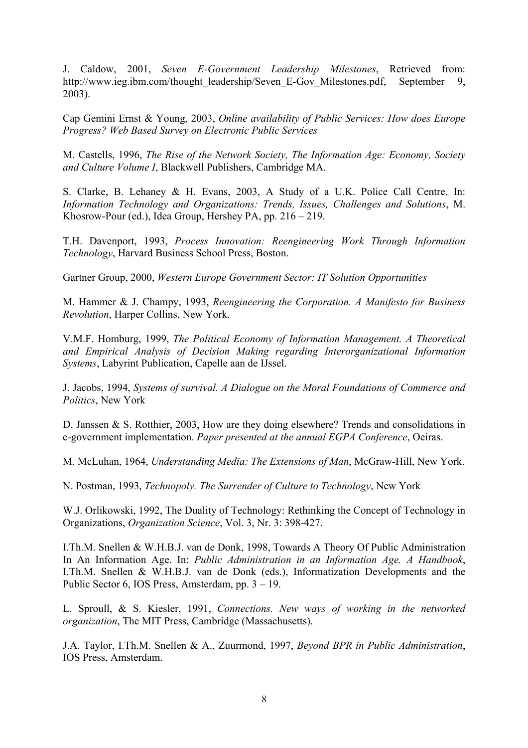J. Caldow, 2001, *Seven E-Government Leadership Milestones*, Retrieved from: http://www.ieg.ibm.com/thought\_leadership/Seven\_E-Gov\_Milestones.pdf, September 9, 2003).

Cap Gemini Ernst & Young, 2003, *Online availability of Public Services: How does Europe Progress? Web Based Survey on Electronic Public Services*

M. Castells, 1996, *The Rise of the Network Society, The Information Age: Economy, Society and Culture Volume I*, Blackwell Publishers, Cambridge MA.

S. Clarke, B. Lehaney & H. Evans, 2003, A Study of a U.K. Police Call Centre. In: *Information Technology and Organizations: Trends, Issues, Challenges and Solutions*, M. Khosrow-Pour (ed.), Idea Group, Hershey PA, pp. 216 – 219.

T.H. Davenport, 1993, *Process Innovation: Reengineering Work Through Information Technology*, Harvard Business School Press, Boston.

Gartner Group, 2000, *Western Europe Government Sector: IT Solution Opportunities*

M. Hammer & J. Champy, 1993, *Reengineering the Corporation. A Manifesto for Business Revolution*, Harper Collins, New York.

V.M.F. Homburg, 1999, *The Political Economy of Information Management. A Theoretical and Empirical Analysis of Decision Making regarding Interorganizational Information Systems*, Labyrint Publication, Capelle aan de IJssel.

J. Jacobs, 1994, *Systems of survival. A Dialogue on the Moral Foundations of Commerce and Politics*, New York

D. Janssen & S. Rotthier, 2003, How are they doing elsewhere? Trends and consolidations in e-government implementation. *Paper presented at the annual EGPA Conference*, Oeiras.

M. McLuhan, 1964, *Understanding Media: The Extensions of Man*, McGraw-Hill, New York.

N. Postman, 1993, *Technopoly. The Surrender of Culture to Technology*, New York

W.J. Orlikowski, 1992, The Duality of Technology: Rethinking the Concept of Technology in Organizations, *Organization Science*, Vol. 3, Nr. 3: 398-427.

I.Th.M. Snellen & W.H.B.J. van de Donk, 1998, Towards A Theory Of Public Administration In An Information Age. In: *Public Administration in an Information Age. A Handbook*, I.Th.M. Snellen & W.H.B.J. van de Donk (eds.), Informatization Developments and the Public Sector 6, IOS Press, Amsterdam, pp. 3 – 19.

L. Sproull, & S. Kiesler, 1991, *Connections. New ways of working in the networked organization*, The MIT Press, Cambridge (Massachusetts).

J.A. Taylor, I.Th.M. Snellen & A., Zuurmond, 1997, *Beyond BPR in Public Administration*, IOS Press, Amsterdam.